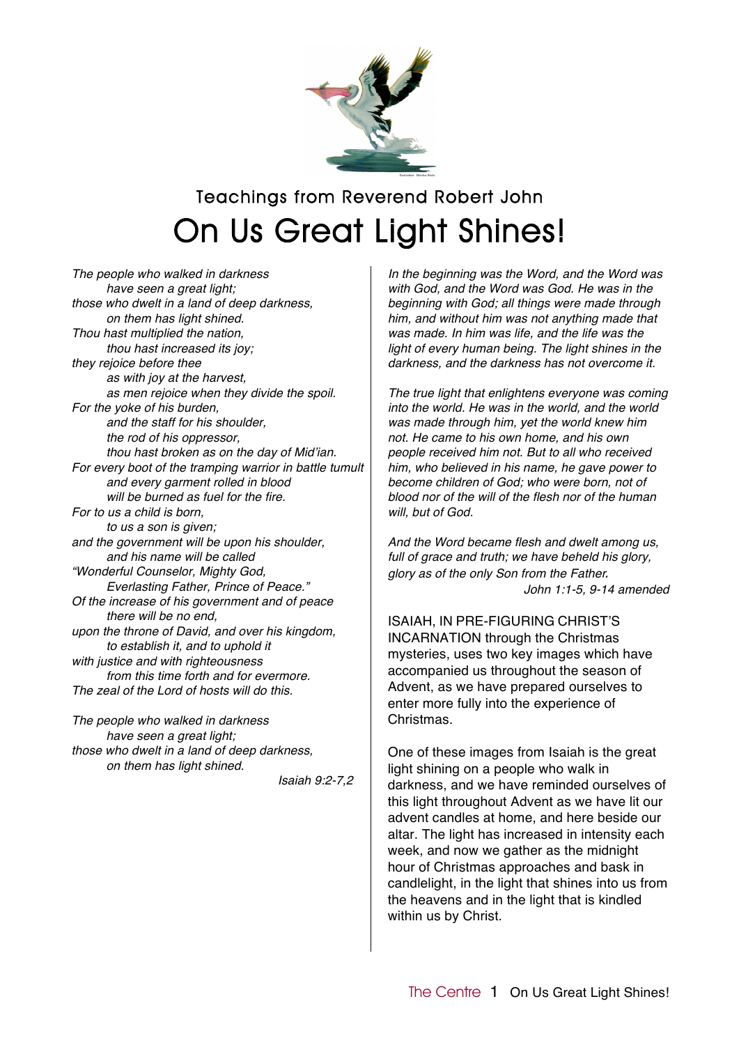

## Teachings from Reverend Robert John On Us Great Light Shines!

*The people who walked in darkness have seen a great light; those who dwelt in a land of deep darkness, on them has light shined. Thou hast multiplied the nation, thou hast increased its joy; they rejoice before thee as with joy at the harvest, as men rejoice when they divide the spoil. For the yoke of his burden, and the staff for his shoulder, the rod of his oppressor, thou hast broken as on the day of Mid*'*ian. For every boot of the tramping warrior in battle tumult and every garment rolled in blood will be burned as fuel for the fire. For to us a child is born, to us a son is given; and the government will be upon his shoulder, and his name will be called "Wonderful Counselor, Mighty God, Everlasting Father, Prince of Peace." Of the increase of his government and of peace there will be no end, upon the throne of David, and over his kingdom, to establish it, and to uphold it with justice and with righteousness from this time forth and for evermore. The zeal of the Lord of hosts will do this.*

*The people who walked in darkness have seen a great light; those who dwelt in a land of deep darkness, on them has light shined.*

*Isaiah 9:2-7,2*

*In the beginning was the Word, and the Word was with God, and the Word was God. He was in the beginning with God; all things were made through him, and without him was not anything made that was made. In him was life, and the life was the light of every human being. The light shines in the darkness, and the darkness has not overcome it.*

*The true light that enlightens everyone was coming into the world. He was in the world, and the world was made through him, yet the world knew him not. He came to his own home, and his own people received him not. But to all who received him, who believed in his name, he gave power to become children of God; who were born, not of blood nor of the will of the flesh nor of the human will, but of God.*

*And the Word became flesh and dwelt among us, full of grace and truth; we have beheld his glory, glory as of the only Son from the Father. John 1:1-5, 9-14 amended*

ISAIAH, IN PRE-FIGURING CHRIST'S INCARNATION through the Christmas mysteries, uses two key images which have accompanied us throughout the season of Advent, as we have prepared ourselves to enter more fully into the experience of Christmas.

One of these images from Isaiah is the great light shining on a people who walk in darkness, and we have reminded ourselves of this light throughout Advent as we have lit our advent candles at home, and here beside our altar. The light has increased in intensity each week, and now we gather as the midnight hour of Christmas approaches and bask in candlelight, in the light that shines into us from the heavens and in the light that is kindled within us by Christ.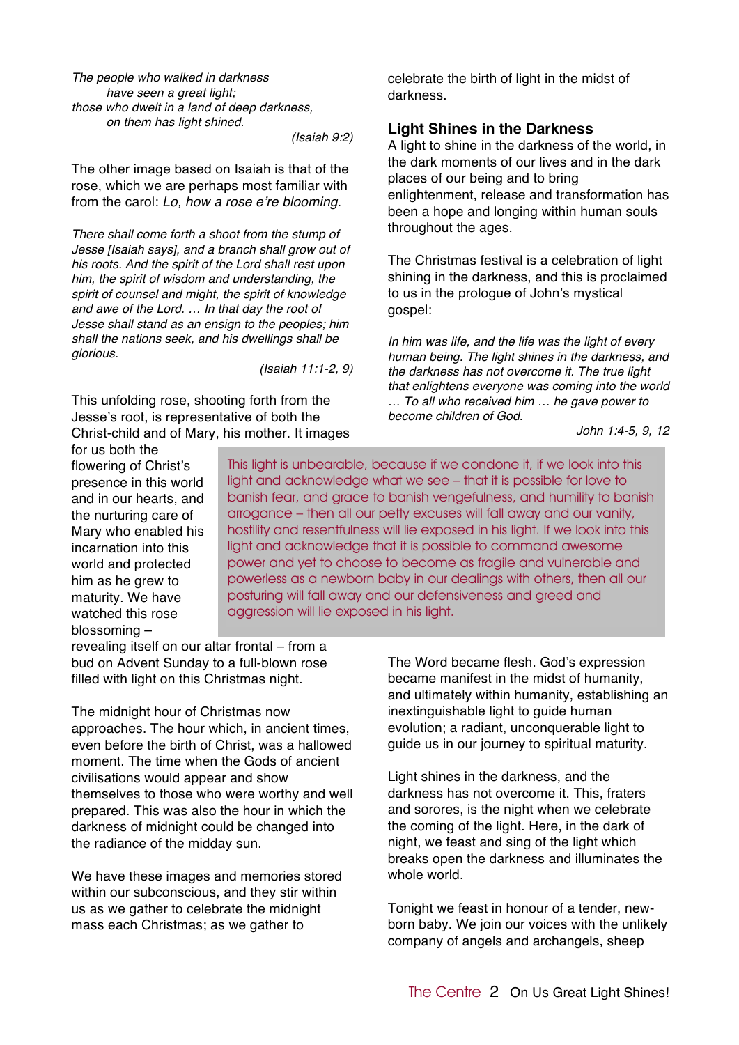*The people who walked in darkness have seen a great light; those who dwelt in a land of deep darkness, on them has light shined.*

*(Isaiah 9:2)*

The other image based on Isaiah is that of the rose, which we are perhaps most familiar with from the carol: *Lo, how a rose e*'*re blooming*.

*There shall come forth a shoot from the stump of Jesse [Isaiah says], and a branch shall grow out of his roots. And the spirit of the Lord shall rest upon him, the spirit of wisdom and understanding, the spirit of counsel and might, the spirit of knowledge and awe of the Lord. … In that day the root of Jesse shall stand as an ensign to the peoples; him shall the nations seek, and his dwellings shall be glorious.*

*(Isaiah 11:1-2, 9)*

This unfolding rose, shooting forth from the Jesse's root, is representative of both the Christ-child and of Mary, his mother. It images celebrate the birth of light in the midst of darkness.

## **Light Shines in the Darkness**

A light to shine in the darkness of the world, in the dark moments of our lives and in the dark places of our being and to bring enlightenment, release and transformation has been a hope and longing within human souls throughout the ages.

The Christmas festival is a celebration of light shining in the darkness, and this is proclaimed to us in the prologue of John's mystical gospel:

*In him was life, and the life was the light of every human being. The light shines in the darkness, and the darkness has not overcome it. The true light that enlightens everyone was coming into the world … To all who received him … he gave power to become children of God.*

*John 1:4-5, 9, 12*

for us both the flowering of Christ's presence in this world and in our hearts, and the nurturing care of Mary who enabled his incarnation into this world and protected him as he grew to maturity. We have watched this rose blossoming –

This light is unbearable, because if we condone it, if we look into this light and acknowledge what we see – that it is possible for love to banish fear, and grace to banish vengefulness, and humility to banish arrogance – then all our petty excuses will fall away and our vanity, hostility and resentfulness will lie exposed in his light. If we look into this light and acknowledge that it is possible to command awesome power and yet to choose to become as fragile and vulnerable and powerless as a newborn baby in our dealings with others, then all our posturing will fall away and our defensiveness and greed and aggression will lie exposed in his light.

revealing itself on our altar frontal – from a bud on Advent Sunday to a full-blown rose filled with light on this Christmas night.

The midnight hour of Christmas now approaches. The hour which, in ancient times, even before the birth of Christ, was a hallowed moment. The time when the Gods of ancient civilisations would appear and show themselves to those who were worthy and well prepared. This was also the hour in which the darkness of midnight could be changed into the radiance of the midday sun.

We have these images and memories stored within our subconscious, and they stir within us as we gather to celebrate the midnight mass each Christmas; as we gather to

The Word became flesh. God's expression became manifest in the midst of humanity, and ultimately within humanity, establishing an inextinguishable light to guide human evolution; a radiant, unconquerable light to guide us in our journey to spiritual maturity.

Light shines in the darkness, and the darkness has not overcome it. This, fraters and sorores, is the night when we celebrate the coming of the light. Here, in the dark of night, we feast and sing of the light which breaks open the darkness and illuminates the whole world.

Tonight we feast in honour of a tender, newborn baby. We join our voices with the unlikely company of angels and archangels, sheep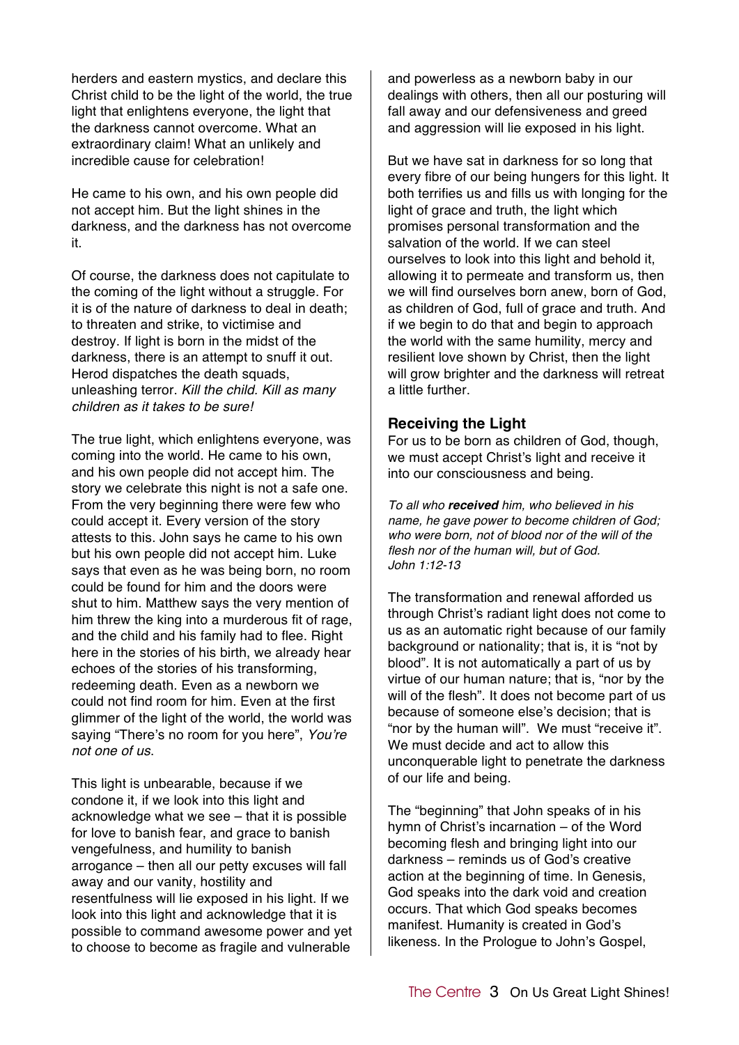herders and eastern mystics, and declare this Christ child to be the light of the world, the true light that enlightens everyone, the light that the darkness cannot overcome. What an extraordinary claim! What an unlikely and incredible cause for celebration!

He came to his own, and his own people did not accept him. But the light shines in the darkness, and the darkness has not overcome it.

Of course, the darkness does not capitulate to the coming of the light without a struggle. For it is of the nature of darkness to deal in death; to threaten and strike, to victimise and destroy. If light is born in the midst of the darkness, there is an attempt to snuff it out. Herod dispatches the death squads, unleashing terror. *Kill the child. Kill as many children as it takes to be sure!*

The true light, which enlightens everyone, was coming into the world. He came to his own, and his own people did not accept him. The story we celebrate this night is not a safe one. From the very beginning there were few who could accept it. Every version of the story attests to this. John says he came to his own but his own people did not accept him. Luke says that even as he was being born, no room could be found for him and the doors were shut to him. Matthew says the very mention of him threw the king into a murderous fit of rage. and the child and his family had to flee. Right here in the stories of his birth, we already hear echoes of the stories of his transforming, redeeming death. Even as a newborn we could not find room for him. Even at the first glimmer of the light of the world, the world was saying "There's no room for you here", *You*'*re not one of us*.

This light is unbearable, because if we condone it, if we look into this light and acknowledge what we see – that it is possible for love to banish fear, and grace to banish vengefulness, and humility to banish arrogance – then all our petty excuses will fall away and our vanity, hostility and resentfulness will lie exposed in his light. If we look into this light and acknowledge that it is possible to command awesome power and yet to choose to become as fragile and vulnerable

and powerless as a newborn baby in our dealings with others, then all our posturing will fall away and our defensiveness and greed and aggression will lie exposed in his light.

But we have sat in darkness for so long that every fibre of our being hungers for this light. It both terrifies us and fills us with longing for the light of grace and truth, the light which promises personal transformation and the salvation of the world. If we can steel ourselves to look into this light and behold it, allowing it to permeate and transform us, then we will find ourselves born anew, born of God, as children of God, full of grace and truth. And if we begin to do that and begin to approach the world with the same humility, mercy and resilient love shown by Christ, then the light will grow brighter and the darkness will retreat a little further.

## **Receiving the Light**

For us to be born as children of God, though, we must accept Christ's light and receive it into our consciousness and being.

*To all who received him, who believed in his name, he gave power to become children of God; who were born, not of blood nor of the will of the flesh nor of the human will, but of God. John 1:12-13*

The transformation and renewal afforded us through Christ's radiant light does not come to us as an automatic right because of our family background or nationality; that is, it is "not by blood". It is not automatically a part of us by virtue of our human nature; that is, "nor by the will of the flesh". It does not become part of us because of someone else's decision; that is "nor by the human will". We must "receive it". We must decide and act to allow this unconquerable light to penetrate the darkness of our life and being.

The "beginning" that John speaks of in his hymn of Christ's incarnation – of the Word becoming flesh and bringing light into our darkness – reminds us of God's creative action at the beginning of time. In Genesis, God speaks into the dark void and creation occurs. That which God speaks becomes manifest. Humanity is created in God's likeness. In the Prologue to John's Gospel,